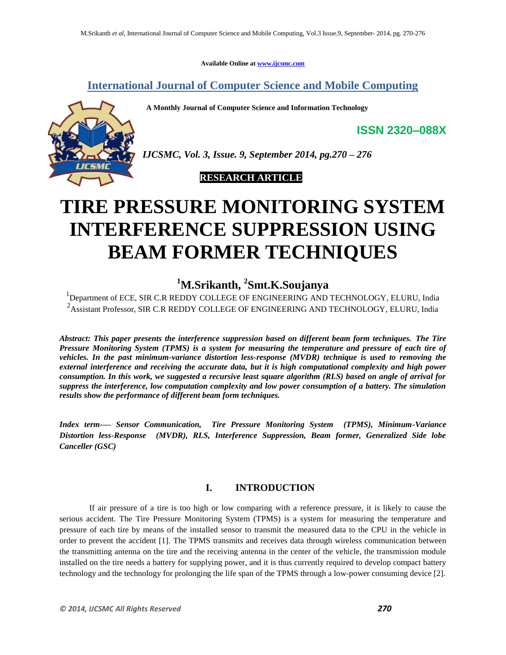**Available Online at www.ijcsmc.com**

**International Journal of Computer Science and Mobile Computing**

 **A Monthly Journal of Computer Science and Information Technology**



*IJCSMC, Vol. 3, Issue. 9, September 2014, pg.270 – 276*

 **RESEARCH ARTICLE**

# **TIRE PRESSURE MONITORING SYSTEM INTERFERENCE SUPPRESSION USING BEAM FORMER TECHNIQUES**

# **<sup>1</sup>M.Srikanth, <sup>2</sup> Smt.K.Soujanya**

<sup>1</sup>Department of ECE, SIR C.R REDDY COLLEGE OF ENGINEERING AND TECHNOLOGY, ELURU, India <sup>2</sup> Assistant Professor, SIR C.R REDDY COLLEGE OF ENGINEERING AND TECHNOLOGY, ELURU, India

*Abstract: This paper presents the interference suppression based on different beam form techniques. The Tire Pressure Monitoring System (TPMS) is a system for measuring the temperature and pressure of each tire of vehicles. In the past minimum-variance distortion less-response (MVDR) technique is used to removing the external interference and receiving the accurate data, but it is high computational complexity and high power consumption. In this work, we suggested a recursive least square algorithm (RLS) based on angle of arrival for suppress the interference, low computation complexity and low power consumption of a battery. The simulation results show the performance of different beam form techniques.*

*Index term-— Sensor Communication, Tire Pressure Monitoring System (TPMS), Minimum-Variance Distortion less-Response (MVDR), RLS, Interference Suppression, Beam former, Generalized Side lobe Canceller (GSC)* 

# **I. INTRODUCTION**

If air pressure of a tire is too high or low comparing with a reference pressure, it is likely to cause the serious accident. The Tire Pressure Monitoring System (TPMS) is a system for measuring the temperature and pressure of each tire by means of the installed sensor to transmit the measured data to the CPU in the vehicle in order to prevent the accident [1]. The TPMS transmits and receives data through wireless communication between the transmitting antenna on the tire and the receiving antenna in the center of the vehicle, the transmission module installed on the tire needs a battery for supplying power, and it is thus currently required to develop compact battery technology and the technology for prolonging the life span of the TPMS through a low-power consuming device [2].

**ISSN 2320–088X**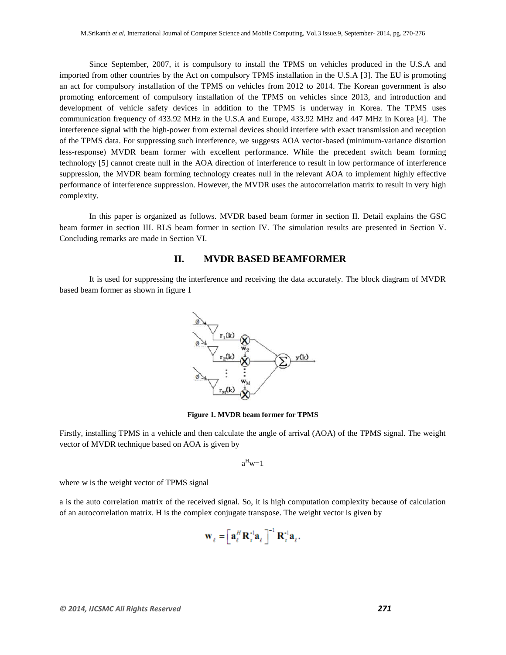Since September, 2007, it is compulsory to install the TPMS on vehicles produced in the U.S.A and imported from other countries by the Act on compulsory TPMS installation in the U.S.A [3]. The EU is promoting an act for compulsory installation of the TPMS on vehicles from 2012 to 2014. The Korean government is also promoting enforcement of compulsory installation of the TPMS on vehicles since 2013, and introduction and development of vehicle safety devices in addition to the TPMS is underway in Korea. The TPMS uses communication frequency of 433.92 MHz in the U.S.A and Europe, 433.92 MHz and 447 MHz in Korea [4]. The interference signal with the high-power from external devices should interfere with exact transmission and reception of the TPMS data. For suppressing such interference, we suggests AOA vector-based (minimum-variance distortion less-response) MVDR beam former with excellent performance. While the precedent switch beam forming technology [5] cannot create null in the AOA direction of interference to result in low performance of interference suppression, the MVDR beam forming technology creates null in the relevant AOA to implement highly effective performance of interference suppression. However, the MVDR uses the autocorrelation matrix to result in very high complexity.

In this paper is organized as follows. MVDR based beam former in section II. Detail explains the GSC beam former in section III. RLS beam former in section IV. The simulation results are presented in Section V. Concluding remarks are made in Section VI.

#### **II. MVDR BASED BEAMFORMER**

It is used for suppressing the interference and receiving the data accurately. The block diagram of MVDR based beam former as shown in figure 1



**Figure 1. MVDR beam former for TPMS**

Firstly, installing TPMS in a vehicle and then calculate the angle of arrival (AOA) of the TPMS signal. The weight vector of MVDR technique based on AOA is given by

$$
a^Hw=1
$$

where w is the weight vector of TPMS signal

a is the auto correlation matrix of the received signal. So, it is high computation complexity because of calculation of an autocorrelation matrix. H is the complex conjugate transpose. The weight vector is given by

$$
\mathbf{W}_{\ell} = \left[ \mathbf{a}_{\ell}^{H} \mathbf{R}_{r}^{A} \mathbf{a}_{\ell} \right]^{-1} \mathbf{R}_{r}^{A} \mathbf{a}_{\ell}.
$$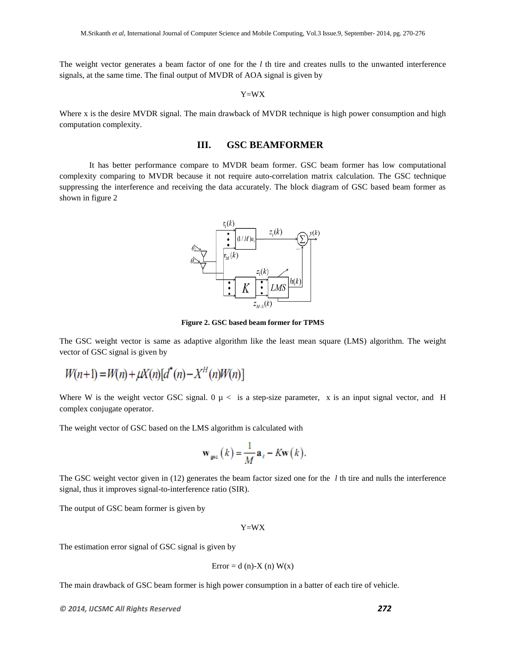The weight vector generates a beam factor of one for the *l* th tire and creates nulls to the unwanted interference signals, at the same time. The final output of MVDR of AOA signal is given by

Y=WX

Where x is the desire MVDR signal. The main drawback of MVDR technique is high power consumption and high computation complexity.

#### **III. GSC BEAMFORMER**

It has better performance compare to MVDR beam former. GSC beam former has low computational complexity comparing to MVDR because it not require auto-correlation matrix calculation. The GSC technique suppressing the interference and receiving the data accurately. The block diagram of GSC based beam former as shown in figure 2



**Figure 2. GSC based beam former for TPMS**

The GSC weight vector is same as adaptive algorithm like the least mean square (LMS) algorithm. The weight vector of GSC signal is given by

$$
W(n+1) = W(n) + \mu X(n)[d^{*}(n) - X^{H}(n)W(n)]
$$

Where W is the weight vector GSC signal.  $0 \mu <$  is a step-size parameter, x is an input signal vector, and H complex conjugate operator.

The weight vector of GSC based on the LMS algorithm is calculated with

$$
\mathbf{w}_{\rm gsc}(k) = \frac{1}{M} \mathbf{a}_{\ell} - K \mathbf{w}(k).
$$

The GSC weight vector given in (12) generates the beam factor sized one for the *l* th tire and nulls the interference signal, thus it improves signal-to-interference ratio (SIR).

The output of GSC beam former is given by

Y=WX

The estimation error signal of GSC signal is given by

$$
Error = d (n)-X (n) W(x)
$$

The main drawback of GSC beam former is high power consumption in a batter of each tire of vehicle.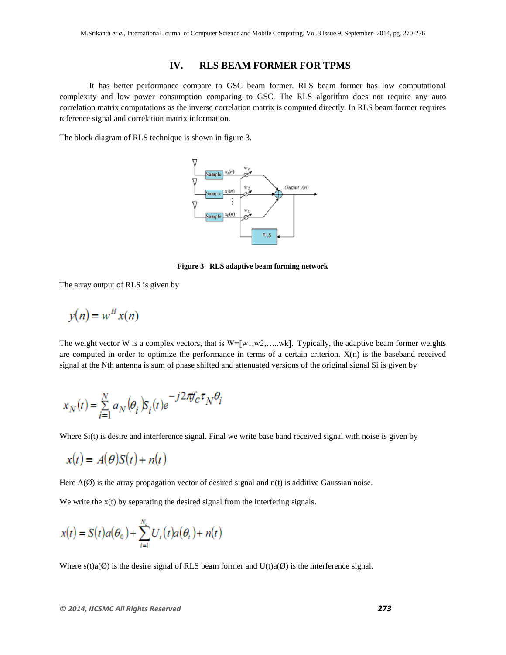### **IV. RLS BEAM FORMER FOR TPMS**

It has better performance compare to GSC beam former. RLS beam former has low computational complexity and low power consumption comparing to GSC. The RLS algorithm does not require any auto correlation matrix computations as the inverse correlation matrix is computed directly. In RLS beam former requires reference signal and correlation matrix information.

The block diagram of RLS technique is shown in figure 3.



**Figure 3 RLS adaptive beam forming network**

The array output of RLS is given by

$$
y(n) = w^H x(n)
$$

The weight vector W is a complex vectors, that is  $W=[w1,w2,......wk]$ . Typically, the adaptive beam former weights are computed in order to optimize the performance in terms of a certain criterion. X(n) is the baseband received signal at the Nth antenna is sum of phase shifted and attenuated versions of the original signal Si is given by

$$
x_N(t) = \sum_{i=1}^{N} a_N(\theta_i) S_i(t) e^{-j2\pi f_c \tau_N \theta_i}
$$

Where Si(t) is desire and interference signal. Final we write base band received signal with noise is given by

$$
x(t) = A(\theta)S(t) + n(t)
$$

Here  $A(\emptyset)$  is the array propagation vector of desired signal and  $n(t)$  is additive Gaussian noise.

We write the  $x(t)$  by separating the desired signal from the interfering signals.

$$
x(t) = S(t)a(\theta_0) + \sum_{i=1}^{N_e} U_i(t)a(\theta_i) + n(t)
$$

Where  $s(t)a(\emptyset)$  is the desire signal of RLS beam former and  $U(t)a(\emptyset)$  is the interference signal.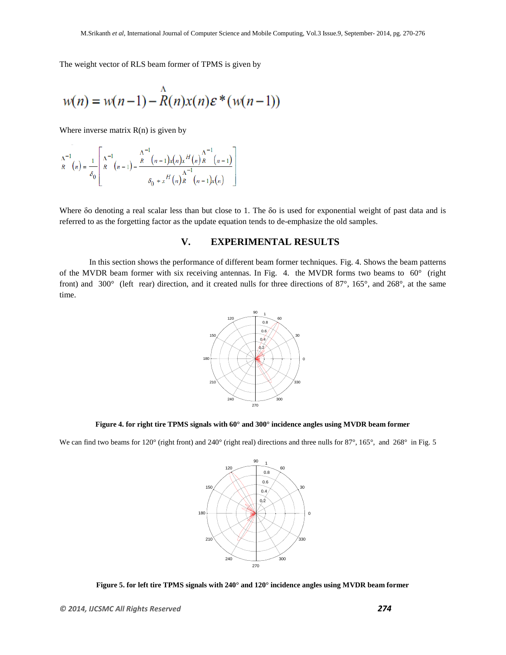The weight vector of RLS beam former of TPMS is given by

$$
w(n) = w(n-1) - \stackrel{\wedge}{R}(n)x(n)\varepsilon^*(w(n-1))
$$

Where inverse matrix  $R(n)$  is given by

$$
\Lambda^{-1}_{R}(n) = \frac{1}{\delta_0} \left[ \frac{\Lambda^{-1}}{R}(n-1) - \frac{\Lambda^{-1}(n-1)x(n)x^{H}(n)x^{1-(n-1)}}{\delta_0 + x^{H}(n)R(n-1)x(n)} \right]
$$

Where δo denoting a real scalar less than but close to 1. The δo is used for exponential weight of past data and is referred to as the forgetting factor as the update equation tends to de-emphasize the old samples.

## **V. EXPERIMENTAL RESULTS**

In this section shows the performance of different beam former techniques. Fig. 4. Shows the beam patterns of the MVDR beam former with six receiving antennas. In Fig. 4. the MVDR forms two beams to 60° (right front) and 300° (left rear) direction, and it created nulls for three directions of 87°, 165°, and 268°, at the same time.



**Figure 4. for right tire TPMS signals with 60° and 300° incidence angles using MVDR beam former**

We can find two beams for 120° (right front) and 240° (right real) directions and three nulls for 87°, 165°, and 268° in Fig. 5



**Figure 5. for left tire TPMS signals with 240° and 120° incidence angles using MVDR beam former**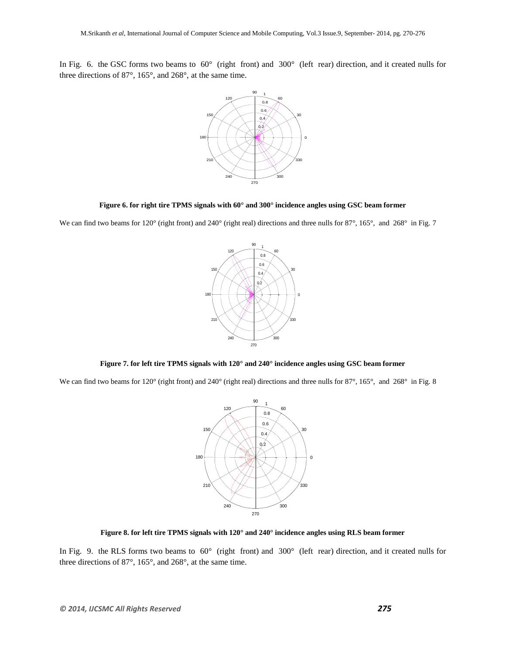In Fig. 6. the GSC forms two beams to  $60^{\circ}$  (right front) and  $300^{\circ}$  (left rear) direction, and it created nulls for three directions of 87°, 165°, and 268°, at the same time.



#### **Figure 6. for right tire TPMS signals with 60° and 300° incidence angles using GSC beam former**

We can find two beams for 120° (right front) and 240° (right real) directions and three nulls for 87°, 165°, and 268° in Fig. 7



**Figure 7. for left tire TPMS signals with 120° and 240° incidence angles using GSC beam former**

We can find two beams for 120° (right front) and 240° (right real) directions and three nulls for 87°, 165°, and 268° in Fig. 8



**Figure 8. for left tire TPMS signals with 120° and 240° incidence angles using RLS beam former**

In Fig. 9. the RLS forms two beams to  $60^\circ$  (right front) and  $300^\circ$  (left rear) direction, and it created nulls for three directions of 87°, 165°, and 268°, at the same time.